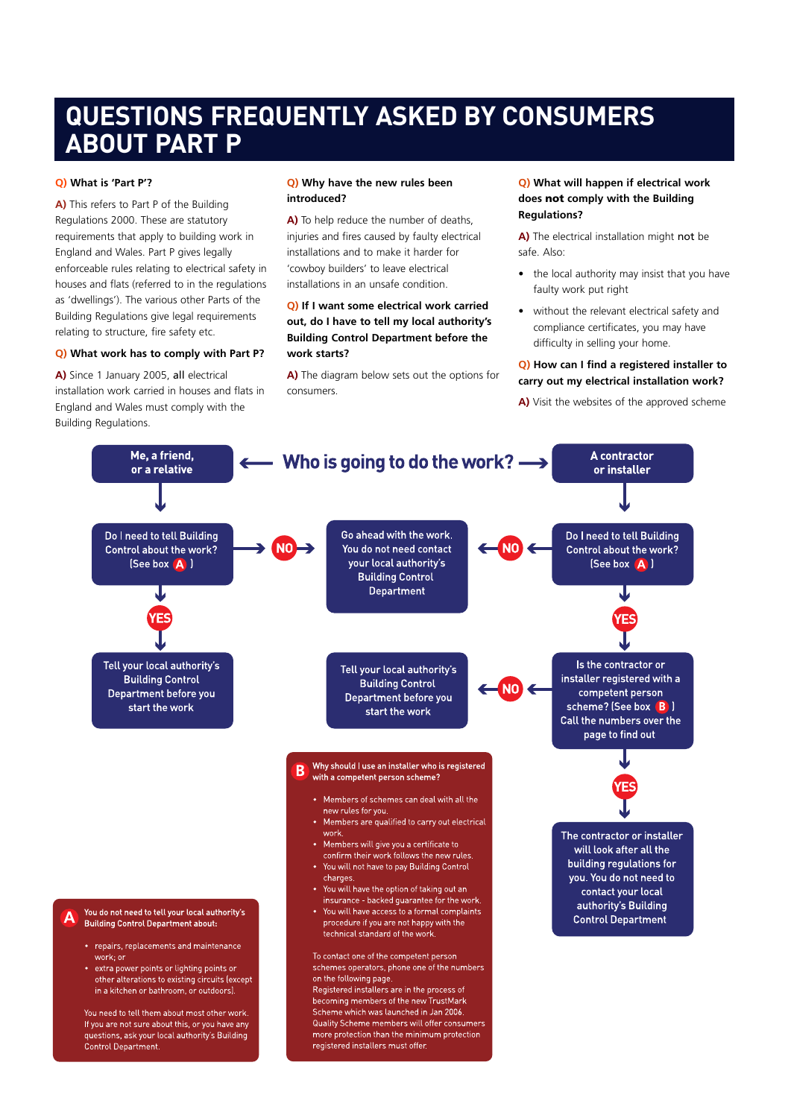# **QUESTIONS FREQUENTLY ASKED BY CONSUMERS ABOUT PART P**

# **Q) What is 'Part P'?**

**A)** This refers to Part P of the Building Regulations 2000. These are statutory requirements that apply to building work in England and Wales. Part P gives legally enforceable rules relating to electrical safety in houses and flats (referred to in the regulations as 'dwellings'). The various other Parts of the Building Regulations give legal requirements relating to structure, fire safety etc.

### **Q) What work has to comply with Part P?**

**A)** Since 1 January 2005, all electrical installation work carried in houses and flats in England and Wales must comply with the Building Regulations.

### **Q) Why have the new rules been introduced?**

**A)** To help reduce the number of deaths, injuries and fires caused by faulty electrical installations and to make it harder for 'cowboy builders' to leave electrical installations in an unsafe condition.

# **Q) If I want some electrical work carried out, do I have to tell my local authority's Building Control Department before the work starts?**

**A)** The diagram below sets out the options for consumers.

# **Q) What will happen if electrical work does not comply with the Building Regulations?**

**A)** The electrical installation might not be safe. Also:

- the local authority may insist that you have faulty work put right
- without the relevant electrical safety and compliance certificates, you may have difficulty in selling your home.

# **Q) How can I find a registered installer to carry out my electrical installation work?**

**A)** Visit the websites of the approved scheme